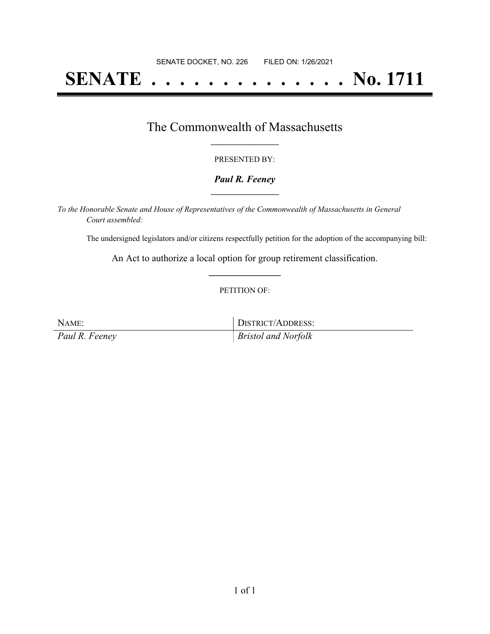# **SENATE . . . . . . . . . . . . . . No. 1711**

### The Commonwealth of Massachusetts **\_\_\_\_\_\_\_\_\_\_\_\_\_\_\_\_\_**

#### PRESENTED BY:

#### *Paul R. Feeney* **\_\_\_\_\_\_\_\_\_\_\_\_\_\_\_\_\_**

*To the Honorable Senate and House of Representatives of the Commonwealth of Massachusetts in General Court assembled:*

The undersigned legislators and/or citizens respectfully petition for the adoption of the accompanying bill:

An Act to authorize a local option for group retirement classification. **\_\_\_\_\_\_\_\_\_\_\_\_\_\_\_**

#### PETITION OF:

NAME: DISTRICT/ADDRESS:

*Paul R. Feeney Bristol and Norfolk*